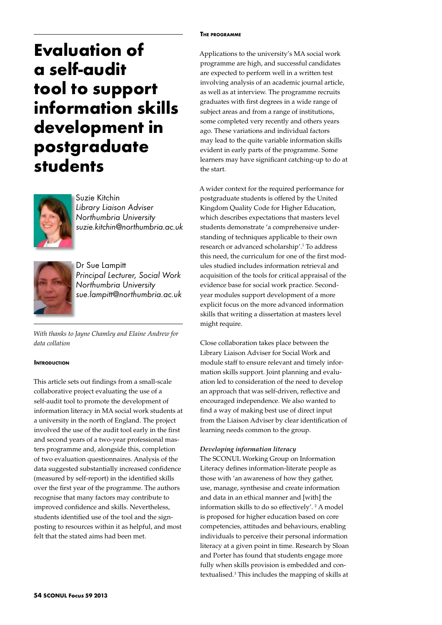#### **The programme**

# **Evaluation of a self-audit tool to support information skills development in postgraduate students**



Suzie Kitchin *Library Liaison Adviser Northumbria University suzie.kitchin@northumbria.ac.uk*



Dr Sue Lampitt *Principal Lecturer, Social Work Northumbria University sue.lampitt@northumbria.ac.uk* 

*With thanks to Jayne Chamley and Elaine Andrew for data collation*

### **INTRODUCTION**

This article sets out findings from a small-scale collaborative project evaluating the use of a self-audit tool to promote the development of information literacy in MA social work students at a university in the north of England. The project involved the use of the audit tool early in the first and second years of a two-year professional masters programme and, alongside this, completion of two evaluation questionnaires. Analysis of the data suggested substantially increased confidence (measured by self-report) in the identified skills over the first year of the programme. The authors recognise that many factors may contribute to improved confidence and skills. Nevertheless, students identified use of the tool and the signposting to resources within it as helpful, and most felt that the stated aims had been met.

Applications to the university's MA social work programme are high, and successful candidates are expected to perform well in a written test involving analysis of an academic journal article, as well as at interview. The programme recruits graduates with first degrees in a wide range of subject areas and from a range of institutions, some completed very recently and others years ago. These variations and individual factors may lead to the quite variable information skills evident in early parts of the programme. Some learners may have significant catching-up to do at the start.

A wider context for the required performance for postgraduate students is offered by the United Kingdom Quality Code for Higher Education, which describes expectations that masters level students demonstrate 'a comprehensive understanding of techniques applicable to their own research or advanced scholarship'.1 To address this need, the curriculum for one of the first modules studied includes information retrieval and acquisition of the tools for critical appraisal of the evidence base for social work practice. Secondyear modules support development of a more explicit focus on the more advanced information skills that writing a dissertation at masters level might require.

Close collaboration takes place between the Library Liaison Adviser for Social Work and module staff to ensure relevant and timely information skills support. Joint planning and evaluation led to consideration of the need to develop an approach that was self-driven, reflective and encouraged independence. We also wanted to find a way of making best use of direct input from the Liaison Adviser by clear identification of learning needs common to the group.

## *Developing information literacy*

The SCONUL Working Group on Information Literacy defines information-literate people as those with 'an awareness of how they gather, use, manage, synthesise and create information and data in an ethical manner and [with] the information skills to do so effectively'. <sup>2</sup> A model is proposed for higher education based on core competencies, attitudes and behaviours, enabling individuals to perceive their personal information literacy at a given point in time. Research by Sloan and Porter has found that students engage more fully when skills provision is embedded and contextualised.3 This includes the mapping of skills at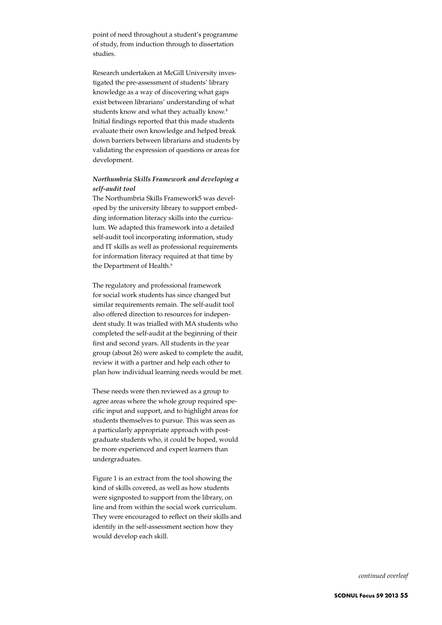point of need throughout a student's programme of study, from induction through to dissertation studies.

Research undertaken at McGill University investigated the pre-assessment of students' library knowledge as a way of discovering what gaps exist between librarians' understanding of what students know and what they actually know.<sup>4</sup> Initial findings reported that this made students evaluate their own knowledge and helped break down barriers between librarians and students by validating the expression of questions or areas for development.

## *Northumbria Skills Framework and developing a self-audit tool*

The Northumbria Skills Framework5 was developed by the university library to support embedding information literacy skills into the curriculum. We adapted this framework into a detailed self-audit tool incorporating information, study and IT skills as well as professional requirements for information literacy required at that time by the Department of Health.<sup>6</sup>

The regulatory and professional framework for social work students has since changed but similar requirements remain. The self-audit tool also offered direction to resources for independent study. It was trialled with MA students who completed the self-audit at the beginning of their first and second years. All students in the year group (about 26) were asked to complete the audit, review it with a partner and help each other to plan how individual learning needs would be met.

These needs were then reviewed as a group to agree areas where the whole group required specific input and support, and to highlight areas for students themselves to pursue. This was seen as a particularly appropriate approach with postgraduate students who, it could be hoped, would be more experienced and expert learners than undergraduates.

Figure 1 is an extract from the tool showing the kind of skills covered, as well as how students were signposted to support from the library, on line and from within the social work curriculum. They were encouraged to reflect on their skills and identify in the self-assessment section how they would develop each skill.

*continued overleaf*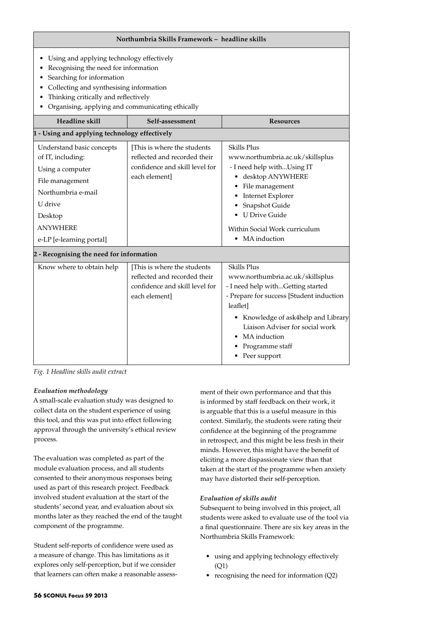| Northumbria Skills Framework - headline skills                                                                                                                                                                                                        |                                                                                                                |                                                                                                                                                                                                                                                                                      |
|-------------------------------------------------------------------------------------------------------------------------------------------------------------------------------------------------------------------------------------------------------|----------------------------------------------------------------------------------------------------------------|--------------------------------------------------------------------------------------------------------------------------------------------------------------------------------------------------------------------------------------------------------------------------------------|
| Using and applying technology effectively<br>Recognising the need for information<br>Searching for information<br>Collecting and synthesising information<br>Thinking critically and reflectively<br>Organising, applying and communicating ethically |                                                                                                                |                                                                                                                                                                                                                                                                                      |
| Headline skill                                                                                                                                                                                                                                        | Self-assessment                                                                                                | <b>Resources</b>                                                                                                                                                                                                                                                                     |
| 1 - Using and applying technology effectively                                                                                                                                                                                                         |                                                                                                                |                                                                                                                                                                                                                                                                                      |
| Understand basic concepts<br>of IT, including:<br>Using a computer<br>File management<br>Northumbria e-mail<br>U drive<br>Desktop<br><b>ANYWHERE</b><br>e-LP [e-learning portal]                                                                      | [This is where the students<br>reflected and recorded their<br>confidence and skill level for<br>each element] | <b>Skills Plus</b><br>www.northumbria.ac.uk/skillsplus<br>- I need help withUsing IT<br>• desktop ANYWHERE<br>• File management<br>• Internet Explorer<br>Snapshot Guide<br>• U Drive Guide<br>Within Social Work curriculum<br>• MA induction                                       |
| 2 - Recognising the need for information                                                                                                                                                                                                              |                                                                                                                |                                                                                                                                                                                                                                                                                      |
| Know where to obtain help                                                                                                                                                                                                                             | [This is where the students<br>reflected and recorded their<br>confidence and skill level for<br>each element] | <b>Skills Plus</b><br>www.northumbria.ac.uk/skillsplus<br>- I need help withGetting started<br>- Prepare for success [Student induction<br>leaflet]<br>• Knowledge of ask4help and Library<br>Liaison Adviser for social work<br>• MA induction<br>Programme staff<br>• Peer support |

*Fig. 1 Headline skills audit extract*

## *Evaluation methodology*

A small-scale evaluation study was designed to collect data on the student experience of using this tool, and this was put into effect following approval through the university's ethical review process.

The evaluation was completed as part of the module evaluation process, and all students consented to their anonymous responses being used as part of this research project. Feedback involved student evaluation at the start of the students' second year, and evaluation about six months later as they reached the end of the taught component of the programme.

Student self-reports of confidence were used as a measure of change. This has limitations as it explores only self-perception, but if we consider that learners can often make a reasonable assessment of their own performance and that this is informed by staff feedback on their work, it is arguable that this is a useful measure in this context. Similarly, the students were rating their confidence at the beginning of the programme in retrospect, and this might be less fresh in their minds. However, this might have the benefit of eliciting a more dispassionate view than that taken at the start of the programme when anxiety may have distorted their self-perception.

## *Evaluation of skills audit*

Subsequent to being involved in this project, all students were asked to evaluate use of the tool via a final questionnaire. There are six key areas in the Northumbria Skills Framework:

- using and applying technology effectively (Q1)
- recognising the need for information (Q2)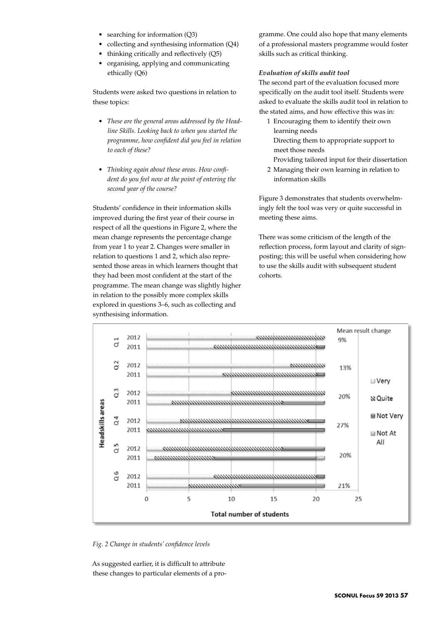- searching for information (Q3)
- collecting and synthesising information  $(Q4)$
- thinking critically and reflectively (Q5)
- organising, applying and communicating ethically (Q6)

Students were asked two questions in relation to these topics:

- • *These are the general areas addressed by the Headline Skills. Looking back to when you started the programme, how confident did you feel in relation to each of these?*
- • *Thinking again about these areas. How confident do you feel now at the point of entering the second year of the course?*

Students' confidence in their information skills improved during the first year of their course in respect of all the questions in Figure 2, where the mean change represents the percentage change from year 1 to year 2. Changes were smaller in relation to questions 1 and 2, which also represented those areas in which learners thought that they had been most confident at the start of the programme. The mean change was slightly higher in relation to the possibly more complex skills explored in questions 3–6, such as collecting and synthesising information.

gramme. One could also hope that many elements of a professional masters programme would foster skills such as critical thinking.

## *Evaluation of skills audit tool*

The second part of the evaluation focused more specifically on the audit tool itself. Students were asked to evaluate the skills audit tool in relation to the stated aims, and how effective this was in:

- 1 Encouraging them to identify their own learning needs Directing them to appropriate support to meet those needs
	- Providing tailored input for their dissertation
- 2 Managing their own learning in relation to information skills

Figure 3 demonstrates that students overwhelmingly felt the tool was very or quite successful in meeting these aims.

There was some criticism of the length of the reflection process, form layout and clarity of signposting; this will be useful when considering how to use the skills audit with subsequent student cohorts.



*Fig. 2 Change in students' confidence levels*

As suggested earlier, it is difficult to attribute these changes to particular elements of a pro-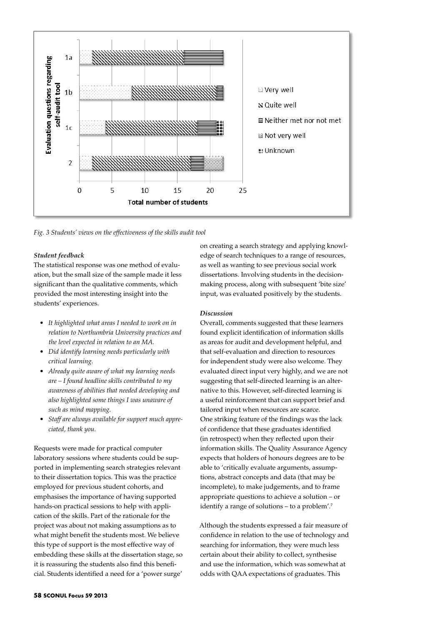

*Fig. 3 Students' views on the effectiveness of the skills audit tool* 

### *Student feedback*

The statistical response was one method of evaluation, but the small size of the sample made it less significant than the qualitative comments, which provided the most interesting insight into the students' experiences.

- • *It highlighted what areas I needed to work on in relation to Northumbria University practices and the level expected in relation to an MA.*
- • *Did identify learning needs particularly with critical learning.*
- • *Already quite aware of what my learning needs are – I found headline skills contributed to my awareness of abilities that needed developing and also highlighted some things I was unaware of such as mind mapping.*
- • *Staff are always available for support much appreciated, thank you.*

Requests were made for practical computer laboratory sessions where students could be supported in implementing search strategies relevant to their dissertation topics. This was the practice employed for previous student cohorts, and emphasises the importance of having supported hands-on practical sessions to help with application of the skills. Part of the rationale for the project was about not making assumptions as to what might benefit the students most. We believe this type of support is the most effective way of embedding these skills at the dissertation stage, so it is reassuring the students also find this beneficial. Students identified a need for a 'power surge'

on creating a search strategy and applying knowledge of search techniques to a range of resources, as well as wanting to see previous social work dissertations. Involving students in the decisionmaking process, along with subsequent 'bite size' input, was evaluated positively by the students.

### *Discussion*

Overall, comments suggested that these learners found explicit identification of information skills as areas for audit and development helpful, and that self-evaluation and direction to resources for independent study were also welcome. They evaluated direct input very highly, and we are not suggesting that self-directed learning is an alternative to this. However, self-directed learning is a useful reinforcement that can support brief and tailored input when resources are scarce. One striking feature of the findings was the lack of confidence that these graduates identified (in retrospect) when they reflected upon their information skills. The Quality Assurance Agency expects that holders of honours degrees are to be able to 'critically evaluate arguments, assumptions, abstract concepts and data (that may be incomplete), to make judgements, and to frame appropriate questions to achieve a solution – or identify a range of solutions – to a problem'.7

Although the students expressed a fair measure of confidence in relation to the use of technology and searching for information, they were much less certain about their ability to collect, synthesise and use the information, which was somewhat at odds with QAA expectations of graduates. This